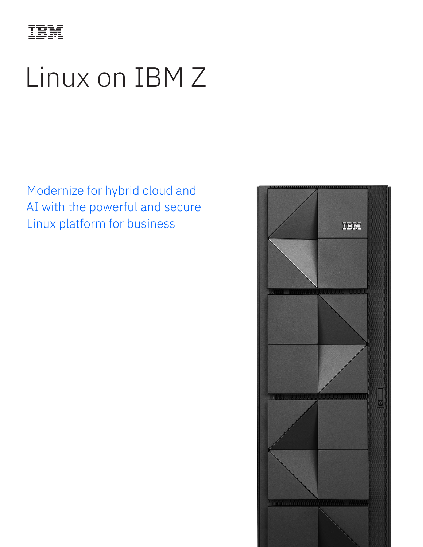

# Linux on IBM Z

Modernize for hybrid cloud and AI with the powerful and secure Linux platform for business

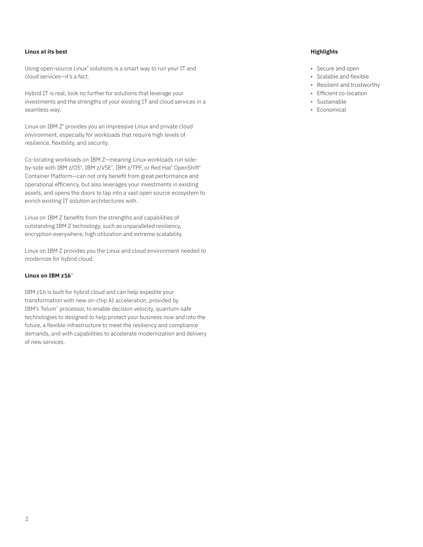# **Linux at its best**

Using open-source Linux<sup>®</sup> solutions is a smart way to run your IT and cloud services—it's a fact.

Hybrid IT is real, look no further for solutions that leverage your investments and the strengths of your existing IT and cloud services in a seamless way.

Linux on IBM Z<sup>®</sup> provides you an impressive Linux and private cloud environment, especially for workloads that require high levels of resilience, flexibility, and security.

Co-locating workloads on IBM Z—meaning Linux workloads run sideby-side with IBM z/OS®, IBM z/VSE®, IBM z/TPF, or Red Hat® OpenShift® Container Platform—can not only benefit from great performance and operational efficiency, but also leverages your investments in existing assets, and opens the doors to tap into a vast open source ecosystem to enrich existing IT solution architectures with.

Linux on IBM Z benefits from the strengths and capabilities of outstanding IBM Z technology, such as unparalleled resiliency, encryption everywhere, high utilization and extreme scalability.

Linux on IBM Z provides you the Linux and cloud environment needed to modernize for hybrid cloud.

### **Linux on IBM z16™**

IBM z16 is built for hybrid cloud and can help expedite your transformation with new on-chip AI acceleration, provided by IBM's Telum™ processor, to enable decision velocity, quantum-safe technologies to designed to help protect your business now and into the future, a flexible infrastructure to meet the resiliency and compliance demands, and with capabilities to accelerate modernization and delivery of new services.

# **Highlights**

- Secure and open
- Scalable and flexible
- Resilient and trustworthy
- Efficient co-location
- Sustainable
- Economical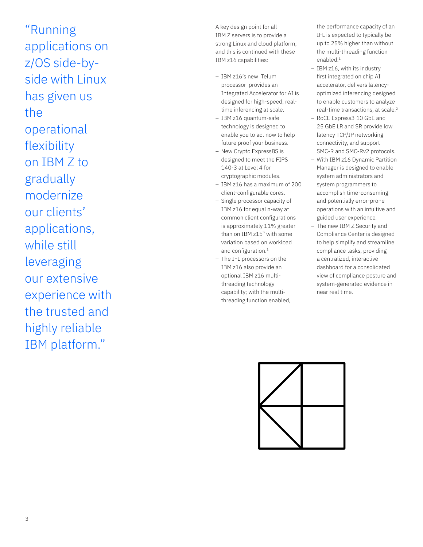"Running applications on z/OS side-byside with Linux has given us the operational flexibility on IBM Z to gradually modernize our clients' applications, while still leveraging our extensive experience with the trusted and highly reliable IBM platform."

A key design point for all IBM Z servers is to provide a strong Linux and cloud platform, and this is continued with these IBM z16 capabilities:

- IBM z16's new Telum processor provides an Integrated Accelerator for AI is designed for high-speed, realtime inferencing at scale.
- IBM z16 quantum-safe technology is designed to enable you to act now to help future proof your business.
- New Crypto Express8S is designed to meet the FIPS 140-3 at Level 4 for cryptographic modules.
- IBM z16 has a maximum of 200 client-configurable cores.
- Single processor capacity of IBM z16 for equal n-way at common client configurations is approximately 11% greater than on IBM z15™ with some variation based on workload and configuration.<sup>1</sup>
- The IFL processors on the IBM z16 also provide an optional IBM z16 multithreading technology capability; with the multithreading function enabled,

the performance capacity of an IFL is expected to typically be up to 25% higher than without the multi-threading function enabled.<sup>1</sup>

- IBM z16, with its industry first integrated on chip AI accelerator, delivers latencyoptimized inferencing designed to enable customers to analyze real-time transactions, at scale.<sup>2</sup>
- RoCE Express3 10 GbE and 25 GbE LR and SR provide low latency TCP/IP networking connectivity, and support SMC-R and SMC-Rv2 protocols.
- With IBM z16 Dynamic Partition Manager is designed to enable system administrators and system programmers to accomplish time-consuming and potentially error-prone operations with an intuitive and guided user experience.
- The new IBM Z Security and Compliance Center is designed to help simplify and streamline compliance tasks, providing a centralized, interactive dashboard for a consolidated view of compliance posture and system-generated evidence in near real time.

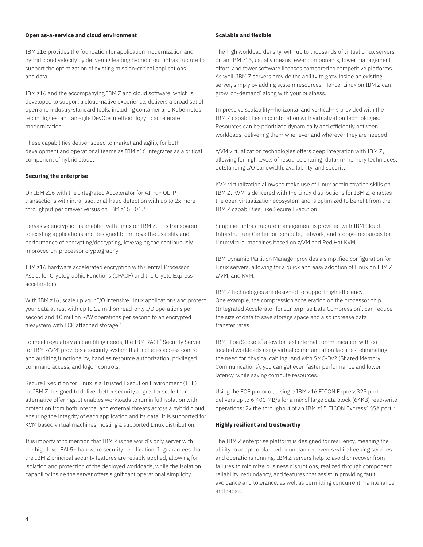### **Open as-a-service and cloud environment**

IBM z16 provides the foundation for application modernization and hybrid cloud velocity by delivering leading hybrid cloud infrastructure to support the optimization of existing mission-critical applications and data.

IBM z16 and the accompanying IBM Z and cloud software, which is developed to support a cloud-native experience, delivers a broad set of open and industry-standard tools, including container and Kubernetes technologies, and an agile DevOps methodology to accelerate modernization.

These capabilities deliver speed to market and agility for both development and operational teams as IBM z16 integrates as a critical component of hybrid cloud.

#### **Securing the enterprise**

On IBM z16 with the Integrated Accelerator for AI, run OLTP transactions with intransactional fraud detection with up to 2x more throughput per drawer versus on IBM z15 T01.<sup>3</sup>

Pervasive encryption is enabled with Linux on IBM Z. It is transparent to existing applications and designed to improve the usability and performance of encrypting/decrypting, leveraging the continuously improved on-processor cryptography

IBM z16 hardware accelerated encryption with Central Processor Assist for Cryptographic Functions (CPACF) and the Crypto Express accelerators.

With IBM z16, scale up your I/O intensive Linux applications and protect your data at rest with up to 12 million read-only I/O operations per second and 10 million R/W operations per second to an encrypted filesystem with FCP attached storage.<sup>4</sup>

To meet regulatory and auditing needs, the IBM RACF® Security Server for IBM z/VM<sup>®</sup> provides a security system that includes access control and auditing functionality, handles resource authorization, privileged command access, and logon controls.

Secure Execution for Linux is a Trusted Execution Environment (TEE) on IBM Z designed to deliver better security at greater scale than alternative offerings. It enables workloads to run in full isolation with protection from both internal and external threats across a hybrid cloud, ensuring the integrity of each application and its data. It is supported for KVM based virtual machines, hosting a supported Linux distribution.

It is important to mention that IBM Z is the world's only server with the high level EAL5+ hardware security certification. It guarantees that the IBM Z principal security features are reliably applied, allowing for isolation and protection of the deployed workloads, while the isolation capability inside the server offers significant operational simplicity.

#### **Scalable and flexible**

The high workload density, with up to thousands of virtual Linux servers on an IBM z16, usually means fewer components, lower management effort, and fewer software licenses compared to competitive platforms. As well, IBM Z servers provide the ability to grow inside an existing server, simply by adding system resources. Hence, Linux on IBM Z can grow 'on-demand' along with your business.

Impressive scalability—horizontal and vertical—is provided with the IBM Z capabilities in combination with virtualization technologies. Resources can be prioritized dynamically and efficiently between workloads, delivering them whenever and wherever they are needed.

z/VM virtualization technologies offers deep integration with IBM Z, allowing for high levels of resource sharing, data-in-memory techniques, outstanding I/O bandwidth, availability, and security.

KVM virtualization allows to make use of Linux administration skills on IBM Z. KVM is delivered with the Linux distributions for IBM Z, enables the open virtualization ecosystem and is optimized to benefit from the IBM Z capabilities, like Secure Execution.

Simplified infrastructure management is provided with IBM Cloud Infrastructure Center for compute, network, and storage resources for Linux virtual machines based on z/VM and Red Hat KVM.

IBM Dynamic Partition Manager provides a simplified configuration for Linux servers, allowing for a quick and easy adoption of Linux on IBM Z, z/VM, and KVM.

IBM Z technologies are designed to support high efficiency. One example, the compression acceleration on the processor chip (Integrated Accelerator for zEnterprise Data Compression), can reduce the size of data to save storage space and also increase data transfer rates.

IBM HiperSockets™ allow for fast internal communication with colocated workloads using virtual communication facilities, eliminating the need for physical cabling. And with SMC-Dv2 (Shared Memory Communications), you can get even faster performance and lower latency, while saving compute resources.

Using the FCP protocol, a single IBM z16 FICON Express32S port delivers up to 6,400 MB/s for a mix of large data block (64KB) read/write operations; 2x the throughput of an IBM z15 FICON Express16SA port.5

## **Highly resilient and trustworthy**

The IBM Z enterprise platform is designed for resiliency, meaning the ability to adapt to planned or unplanned events while keeping services and operations running. IBM Z servers help to avoid or recover from failures to minimize business disruptions, realized through component reliability, redundancy, and features that assist in providing fault avoidance and tolerance, as well as permitting concurrent maintenance and repair.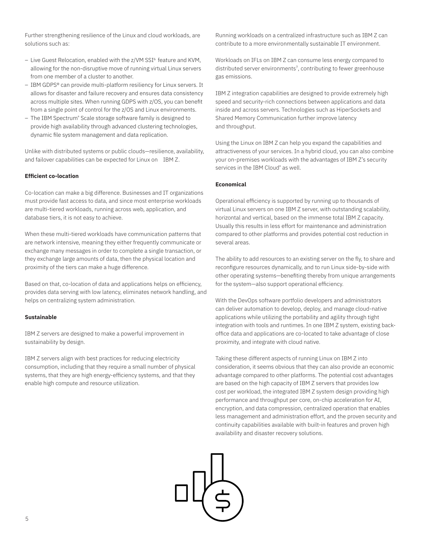Further strengthening resilience of the Linux and cloud workloads, are solutions such as:

- Live Guest Relocation, enabled with the z/VM SSI<sup>6</sup> feature and KVM, allowing for the non-disruptive move of running virtual Linux servers from one member of a cluster to another.
- IBM GDPS® can provide multi-platform resiliency for Linux servers. It allows for disaster and failure recovery and ensures data consistency across multiple sites. When running GDPS with z/OS, you can benefit from a single point of control for the z/OS and Linux environments.
- The IBM Spectrum® Scale storage software family is designed to provide high availability through advanced clustering technologies, dynamic file system management and data replication.

Unlike with distributed systems or public clouds—resilience, availability, and failover capabilities can be expected for Linux on IBM Z.

# **Efficient co-location**

Co-location can make a big difference. Businesses and IT organizations must provide fast access to data, and since most enterprise workloads are multi-tiered workloads, running across web, application, and database tiers, it is not easy to achieve.

When these multi-tiered workloads have communication patterns that are network intensive, meaning they either frequently communicate or exchange many messages in order to complete a single transaction, or they exchange large amounts of data, then the physical location and proximity of the tiers can make a huge difference.

Based on that, co-location of data and applications helps on efficiency, provides data serving with low latency, eliminates network handling, and helps on centralizing system administration.

#### **Sustainable**

IBM Z servers are designed to make a powerful improvement in sustainability by design.

IBM Z servers align with best practices for reducing electricity consumption, including that they require a small number of physical systems, that they are high energy-efficiency systems, and that they enable high compute and resource utilization.

Running workloads on a centralized infrastructure such as IBM Z can contribute to a more environmentally sustainable IT environment.

Workloads on IFLs on IBM Z can consume less energy compared to distributed server environments<sup>7</sup>, contributing to fewer greenhouse gas emissions.

IBM Z integration capabilities are designed to provide extremely high speed and security-rich connections between applications and data inside and across servers. Technologies such as HiperSockets and Shared Memory Communication further improve latency and throughput.

Using the Linux on IBM Z can help you expand the capabilities and attractiveness of your services. In a hybrid cloud, you can also combine your on-premises workloads with the advantages of IBM Z's security services in the IBM Cloud® as well.

# **Economical**

Operational efficiency is supported by running up to thousands of virtual Linux servers on one IBM Z server, with outstanding scalability, horizontal and vertical, based on the immense total IBM Z capacity. Usually this results in less effort for maintenance and administration compared to other platforms and provides potential cost reduction in several areas.

The ability to add resources to an existing server on the fly, to share and reconfigure resources dynamically, and to run Linux side-by-side with other operating systems—benefiting thereby from unique arrangements for the system—also support operational efficiency.

With the DevOps software portfolio developers and administrators can deliver automation to develop, deploy, and manage cloud-native applications while utilizing the portability and agility through tight integration with tools and runtimes. In one IBM Z system, existing backoffice data and applications are co-located to take advantage of close proximity, and integrate with cloud native.

Taking these different aspects of running Linux on IBM Z into consideration, it seems obvious that they can also provide an economic advantage compared to other platforms. The potential cost advantages are based on the high capacity of IBM Z servers that provides low cost per workload, the integrated IBM Z system design providing high performance and throughput per core, on-chip acceleration for AI, encryption, and data compression, centralized operation that enables less management and administration effort, and the proven security and continuity capabilities available with built-in features and proven high availability and disaster recovery solutions.